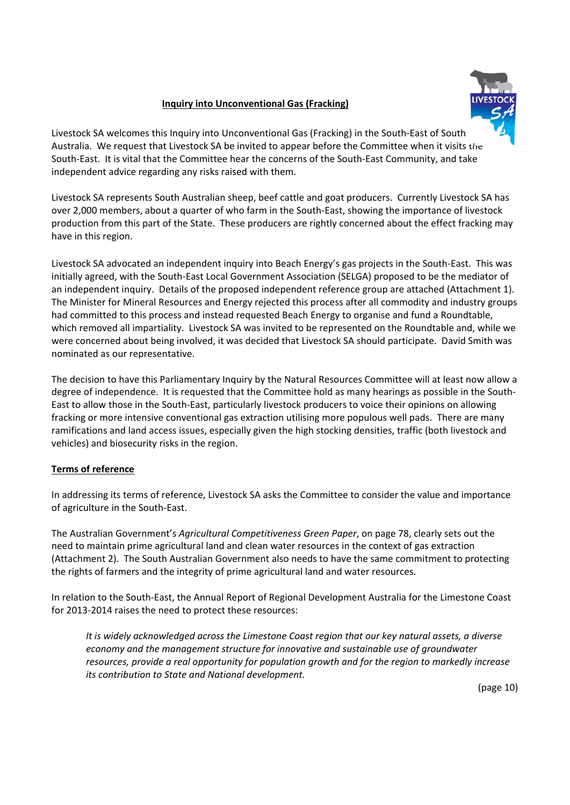# **Inquiry into Unconventional Gas (Fracking)**



Livestock SA welcomes this Inquiry into Unconventional Gas (Fracking) in the South‐East of South Australia. We request that Livestock SA be invited to appear before the Committee when it visits the South‐East. It is vital that the Committee hear the concerns of the South‐East Community, and take independent advice regarding any risks raised with them.

Livestock SA represents South Australian sheep, beef cattle and goat producers. Currently Livestock SA has over 2,000 members, about a quarter of who farm in the South‐East, showing the importance of livestock production from this part of the State. These producers are rightly concerned about the effect fracking may have in this region.

Livestock SA advocated an independent inquiry into Beach Energy's gas projects in the South‐East. This was initially agreed, with the South‐East Local Government Association (SELGA) proposed to be the mediator of an independent inquiry. Details of the proposed independent reference group are attached (Attachment 1). The Minister for Mineral Resources and Energy rejected this process after all commodity and industry groups had committed to this process and instead requested Beach Energy to organise and fund a Roundtable, which removed all impartiality. Livestock SA was invited to be represented on the Roundtable and, while we were concerned about being involved, it was decided that Livestock SA should participate. David Smith was nominated as our representative.

The decision to have this Parliamentary Inquiry by the Natural Resources Committee will at least now allow a degree of independence. It is requested that the Committee hold as many hearings as possible in the South-East to allow those in the South‐East, particularly livestock producers to voice their opinions on allowing fracking or more intensive conventional gas extraction utilising more populous well pads. There are many ramifications and land access issues, especially given the high stocking densities, traffic (both livestock and vehicles) and biosecurity risks in the region.

# **Terms of reference**

In addressing its terms of reference, Livestock SA asks the Committee to consider the value and importance of agriculture in the South‐East.

The Australian Government's *Agricultural Competitiveness Green Paper*, on page 78, clearly sets out the need to maintain prime agricultural land and clean water resources in the context of gas extraction (Attachment 2). The South Australian Government also needs to have the same commitment to protecting the rights of farmers and the integrity of prime agricultural land and water resources.

In relation to the South‐East, the Annual Report of Regional Development Australia for the Limestone Coast for 2013‐2014 raises the need to protect these resources:

*It is widely acknowledged across the Limestone Coast region that our key natural assets, a diverse economy and the management structure for innovative and sustainable use of groundwater resources, provide a real opportunity for population growth and for the region to markedly increase its contribution to State and National development.*

(page 10)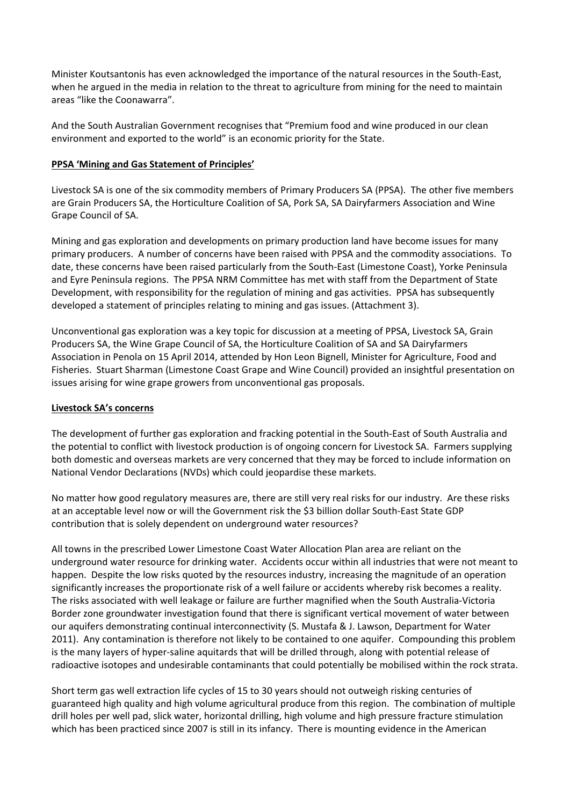Minister Koutsantonis has even acknowledged the importance of the natural resources in the South‐East, when he argued in the media in relation to the threat to agriculture from mining for the need to maintain areas "like the Coonawarra".

And the South Australian Government recognises that "Premium food and wine produced in our clean environment and exported to the world" is an economic priority for the State.

# **PPSA 'Mining and Gas Statement of Principles'**

Livestock SA is one of the six commodity members of Primary Producers SA (PPSA). The other five members are Grain Producers SA, the Horticulture Coalition of SA, Pork SA, SA Dairyfarmers Association and Wine Grape Council of SA.

Mining and gas exploration and developments on primary production land have become issues for many primary producers. A number of concerns have been raised with PPSA and the commodity associations. To date, these concerns have been raised particularly from the South‐East (Limestone Coast), Yorke Peninsula and Eyre Peninsula regions. The PPSA NRM Committee has met with staff from the Department of State Development, with responsibility for the regulation of mining and gas activities. PPSA has subsequently developed a statement of principles relating to mining and gas issues. (Attachment 3).

Unconventional gas exploration was a key topic for discussion at a meeting of PPSA, Livestock SA, Grain Producers SA, the Wine Grape Council of SA, the Horticulture Coalition of SA and SA Dairyfarmers Association in Penola on 15 April 2014, attended by Hon Leon Bignell, Minister for Agriculture, Food and Fisheries. Stuart Sharman (Limestone Coast Grape and Wine Council) provided an insightful presentation on issues arising for wine grape growers from unconventional gas proposals.

## **Livestock SA's concerns**

The development of further gas exploration and fracking potential in the South‐East of South Australia and the potential to conflict with livestock production is of ongoing concern for Livestock SA. Farmers supplying both domestic and overseas markets are very concerned that they may be forced to include information on National Vendor Declarations (NVDs) which could jeopardise these markets.

No matter how good regulatory measures are, there are still very real risks for our industry. Are these risks at an acceptable level now or will the Government risk the \$3 billion dollar South‐East State GDP contribution that is solely dependent on underground water resources?

All towns in the prescribed Lower Limestone Coast Water Allocation Plan area are reliant on the underground water resource for drinking water. Accidents occur within all industries that were not meant to happen. Despite the low risks quoted by the resources industry, increasing the magnitude of an operation significantly increases the proportionate risk of a well failure or accidents whereby risk becomes a reality. The risks associated with well leakage or failure are further magnified when the South Australia‐Victoria Border zone groundwater investigation found that there is significant vertical movement of water between our aquifers demonstrating continual interconnectivity (S. Mustafa & J. Lawson, Department for Water 2011). Any contamination is therefore not likely to be contained to one aquifer. Compounding this problem is the many layers of hyper-saline aquitards that will be drilled through, along with potential release of radioactive isotopes and undesirable contaminants that could potentially be mobilised within the rock strata.

Short term gas well extraction life cycles of 15 to 30 years should not outweigh risking centuries of guaranteed high quality and high volume agricultural produce from this region. The combination of multiple drill holes per well pad, slick water, horizontal drilling, high volume and high pressure fracture stimulation which has been practiced since 2007 is still in its infancy. There is mounting evidence in the American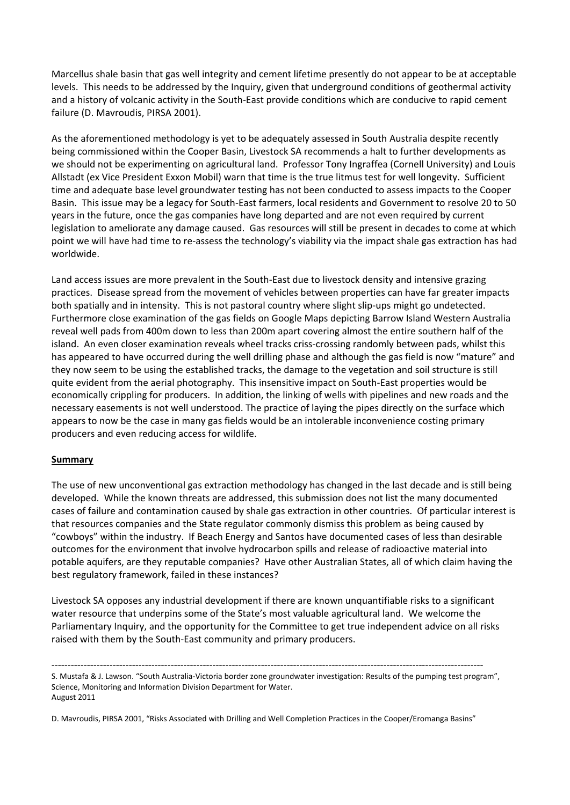Marcellus shale basin that gas well integrity and cement lifetime presently do not appear to be at acceptable levels. This needs to be addressed by the Inquiry, given that underground conditions of geothermal activity and a history of volcanic activity in the South‐East provide conditions which are conducive to rapid cement failure (D. Mavroudis, PIRSA 2001).

As the aforementioned methodology is yet to be adequately assessed in South Australia despite recently being commissioned within the Cooper Basin, Livestock SA recommends a halt to further developments as we should not be experimenting on agricultural land. Professor Tony Ingraffea (Cornell University) and Louis Allstadt (ex Vice President Exxon Mobil) warn that time is the true litmus test for well longevity. Sufficient time and adequate base level groundwater testing has not been conducted to assess impacts to the Cooper Basin. This issue may be a legacy for South‐East farmers, local residents and Government to resolve 20 to 50 years in the future, once the gas companies have long departed and are not even required by current legislation to ameliorate any damage caused. Gas resources will still be present in decades to come at which point we will have had time to re‐assess the technology's viability via the impact shale gas extraction has had worldwide.

Land access issues are more prevalent in the South-East due to livestock density and intensive grazing practices. Disease spread from the movement of vehicles between properties can have far greater impacts both spatially and in intensity. This is not pastoral country where slight slip‐ups might go undetected. Furthermore close examination of the gas fields on Google Maps depicting Barrow Island Western Australia reveal well pads from 400m down to less than 200m apart covering almost the entire southern half of the island. An even closer examination reveals wheel tracks criss-crossing randomly between pads, whilst this has appeared to have occurred during the well drilling phase and although the gas field is now "mature" and they now seem to be using the established tracks, the damage to the vegetation and soil structure is still quite evident from the aerial photography. This insensitive impact on South‐East properties would be economically crippling for producers. In addition, the linking of wells with pipelines and new roads and the necessary easements is not well understood. The practice of laying the pipes directly on the surface which appears to now be the case in many gas fields would be an intolerable inconvenience costing primary producers and even reducing access for wildlife.

## **Summary**

The use of new unconventional gas extraction methodology has changed in the last decade and is still being developed. While the known threats are addressed, this submission does not list the many documented cases of failure and contamination caused by shale gas extraction in other countries. Of particular interest is that resources companies and the State regulator commonly dismiss this problem as being caused by "cowboys" within the industry. If Beach Energy and Santos have documented cases of less than desirable outcomes for the environment that involve hydrocarbon spills and release of radioactive material into potable aquifers, are they reputable companies? Have other Australian States, all of which claim having the best regulatory framework, failed in these instances?

Livestock SA opposes any industrial development if there are known unquantifiable risks to a significant water resource that underpins some of the State's most valuable agricultural land. We welcome the Parliamentary Inquiry, and the opportunity for the Committee to get true independent advice on all risks raised with them by the South‐East community and primary producers.

‐‐‐‐‐‐‐‐‐‐‐‐‐‐‐‐‐‐‐‐‐‐‐‐‐‐‐‐‐‐‐‐‐‐‐‐‐‐‐‐‐‐‐‐‐‐‐‐‐‐‐‐‐‐‐‐‐‐‐‐‐‐‐‐‐‐‐‐‐‐‐‐‐‐‐‐‐‐‐‐‐‐‐‐‐‐‐‐‐‐‐‐‐‐‐‐‐‐‐‐‐‐‐‐‐‐‐‐‐‐‐‐‐‐‐‐‐‐‐‐‐‐‐‐‐‐‐‐‐‐‐‐‐‐

S. Mustafa & J. Lawson. "South Australia‐Victoria border zone groundwater investigation: Results of the pumping test program", Science, Monitoring and Information Division Department for Water. August 2011

D. Mavroudis, PIRSA 2001, "Risks Associated with Drilling and Well Completion Practices in the Cooper/Eromanga Basins"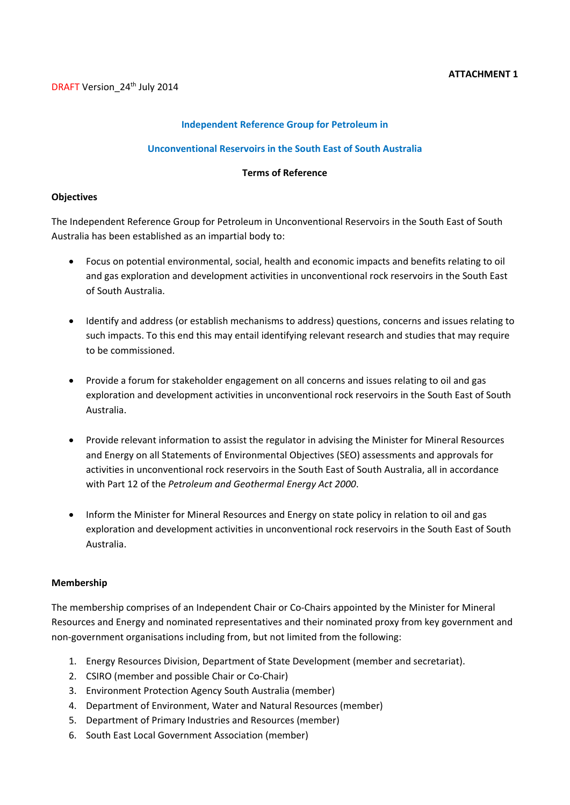## **Independent Reference Group for Petroleum in**

#### **Unconventional Reservoirs in the South East of South Australia**

### **Terms of Reference**

#### **Objectives**

The Independent Reference Group for Petroleum in Unconventional Reservoirs in the South East of South Australia has been established as an impartial body to:

- Focus on potential environmental, social, health and economic impacts and benefits relating to oil and gas exploration and development activities in unconventional rock reservoirs in the South East of South Australia.
- Identify and address (or establish mechanisms to address) questions, concerns and issues relating to such impacts. To this end this may entail identifying relevant research and studies that may require to be commissioned.
- Provide a forum for stakeholder engagement on all concerns and issues relating to oil and gas exploration and development activities in unconventional rock reservoirs in the South East of South Australia.
- Provide relevant information to assist the regulator in advising the Minister for Mineral Resources and Energy on all Statements of Environmental Objectives (SEO) assessments and approvals for activities in unconventional rock reservoirs in the South East of South Australia, all in accordance with Part 12 of the *Petroleum and Geothermal Energy Act 2000*.
- Inform the Minister for Mineral Resources and Energy on state policy in relation to oil and gas exploration and development activities in unconventional rock reservoirs in the South East of South Australia.

#### **Membership**

The membership comprises of an Independent Chair or Co-Chairs appointed by the Minister for Mineral Resources and Energy and nominated representatives and their nominated proxy from key government and non‐government organisations including from, but not limited from the following:

- 1. Energy Resources Division, Department of State Development (member and secretariat).
- 2. CSIRO (member and possible Chair or Co‐Chair)
- 3. Environment Protection Agency South Australia (member)
- 4. Department of Environment, Water and Natural Resources (member)
- 5. Department of Primary Industries and Resources (member)
- 6. South East Local Government Association (member)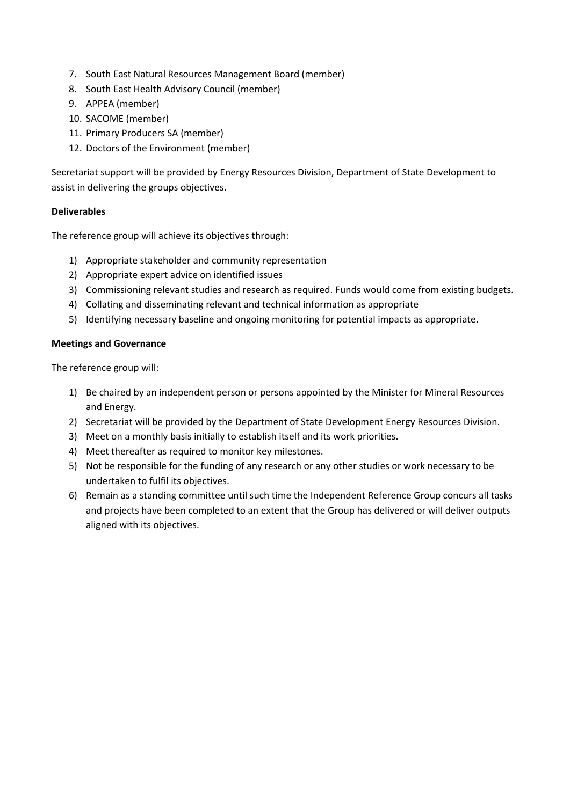- 7. South East Natural Resources Management Board (member)
- 8. South East Health Advisory Council (member)
- 9. APPEA (member)
- 10. SACOME (member)
- 11. Primary Producers SA (member)
- 12. Doctors of the Environment (member)

Secretariat support will be provided by Energy Resources Division, Department of State Development to assist in delivering the groups objectives.

# **Deliverables**

The reference group will achieve its objectives through:

- 1) Appropriate stakeholder and community representation
- 2) Appropriate expert advice on identified issues
- 3) Commissioning relevant studies and research as required. Funds would come from existing budgets.
- 4) Collating and disseminating relevant and technical information as appropriate
- 5) Identifying necessary baseline and ongoing monitoring for potential impacts as appropriate.

## **Meetings and Governance**

The reference group will:

- 1) Be chaired by an independent person or persons appointed by the Minister for Mineral Resources and Energy.
- 2) Secretariat will be provided by the Department of State Development Energy Resources Division.
- 3) Meet on a monthly basis initially to establish itself and its work priorities.
- 4) Meet thereafter as required to monitor key milestones.
- 5) Not be responsible for the funding of any research or any other studies or work necessary to be undertaken to fulfil its objectives.
- 6) Remain as a standing committee until such time the Independent Reference Group concurs all tasks and projects have been completed to an extent that the Group has delivered or will deliver outputs aligned with its objectives.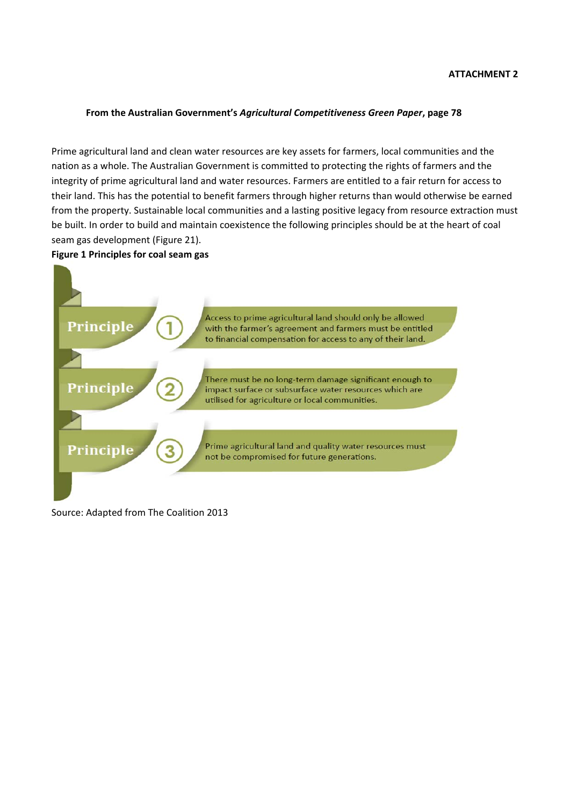### **From the Australian Government's** *Agricultural Competitiveness Green Paper***, page 78**

Prime agricultural land and clean water resources are key assets for farmers, local communities and the nation as a whole. The Australian Government is committed to protecting the rights of farmers and the integrity of prime agricultural land and water resources. Farmers are entitled to a fair return for access to their land. This has the potential to benefit farmers through higher returns than would otherwise be earned from the property. Sustainable local communities and a lasting positive legacy from resource extraction must be built. In order to build and maintain coexistence the following principles should be at the heart of coal seam gas development (Figure 21).

## **Figure 1 Principles for coal seam gas**



Source: Adapted from The Coalition 2013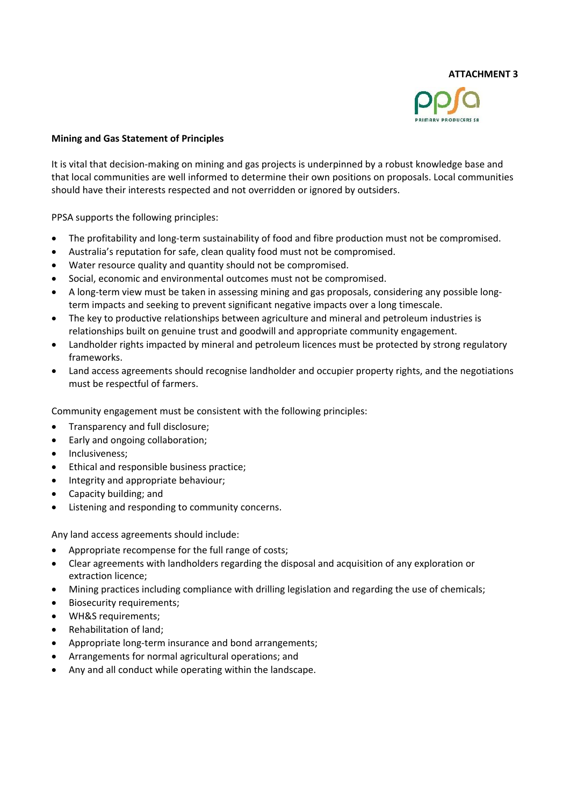

## **Mining and Gas Statement of Principles**

It is vital that decision‐making on mining and gas projects is underpinned by a robust knowledge base and that local communities are well informed to determine their own positions on proposals. Local communities should have their interests respected and not overridden or ignored by outsiders.

PPSA supports the following principles:

- The profitability and long-term sustainability of food and fibre production must not be compromised.
- Australia's reputation for safe, clean quality food must not be compromised.
- Water resource quality and quantity should not be compromised.
- Social, economic and environmental outcomes must not be compromised.
- A long‐term view must be taken in assessing mining and gas proposals, considering any possible long‐ term impacts and seeking to prevent significant negative impacts over a long timescale.
- The key to productive relationships between agriculture and mineral and petroleum industries is relationships built on genuine trust and goodwill and appropriate community engagement.
- Landholder rights impacted by mineral and petroleum licences must be protected by strong regulatory frameworks.
- Land access agreements should recognise landholder and occupier property rights, and the negotiations must be respectful of farmers.

Community engagement must be consistent with the following principles:

- Transparency and full disclosure;
- Early and ongoing collaboration;
- Inclusiveness;
- Ethical and responsible business practice;
- Integrity and appropriate behaviour;
- Capacity building; and
- Listening and responding to community concerns.

Any land access agreements should include:

- Appropriate recompense for the full range of costs;
- Clear agreements with landholders regarding the disposal and acquisition of any exploration or extraction licence;
- Mining practices including compliance with drilling legislation and regarding the use of chemicals;
- Biosecurity requirements;
- WH&S requirements;
- Rehabilitation of land;
- Appropriate long‐term insurance and bond arrangements;
- Arrangements for normal agricultural operations; and
- Any and all conduct while operating within the landscape.